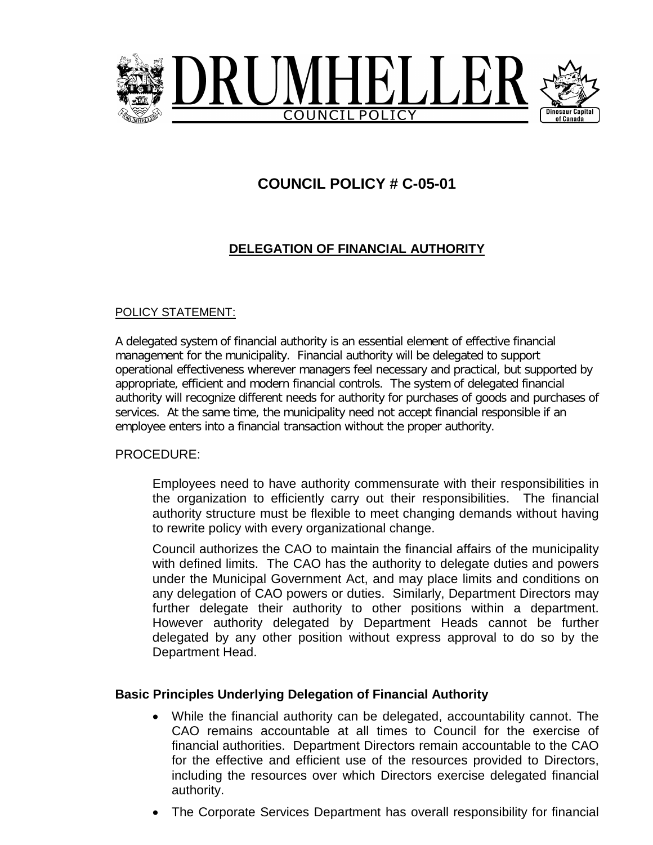

## **COUNCIL POLICY # C-05-01**

### **DELEGATION OF FINANCIAL AUTHORITY**

#### POLICY STATEMENT:

A delegated system of financial authority is an essential element of effective financial management for the municipality. Financial authority will be delegated to support operational effectiveness wherever managers feel necessary and practical, but supported by appropriate, efficient and modern financial controls. The system of delegated financial authority will recognize different needs for authority for purchases of goods and purchases of services. At the same time, the municipality need not accept financial responsible if an employee enters into a financial transaction without the proper authority.

#### PROCEDURE:

Employees need to have authority commensurate with their responsibilities in the organization to efficiently carry out their responsibilities. The financial authority structure must be flexible to meet changing demands without having to rewrite policy with every organizational change.

Council authorizes the CAO to maintain the financial affairs of the municipality with defined limits. The CAO has the authority to delegate duties and powers under the Municipal Government Act, and may place limits and conditions on any delegation of CAO powers or duties. Similarly, Department Directors may further delegate their authority to other positions within a department. However authority delegated by Department Heads cannot be further delegated by any other position without express approval to do so by the Department Head.

#### **Basic Principles Underlying Delegation of Financial Authority**

- While the financial authority can be delegated, accountability cannot. The CAO remains accountable at all times to Council for the exercise of financial authorities. Department Directors remain accountable to the CAO for the effective and efficient use of the resources provided to Directors, including the resources over which Directors exercise delegated financial authority.
- The Corporate Services Department has overall responsibility for financial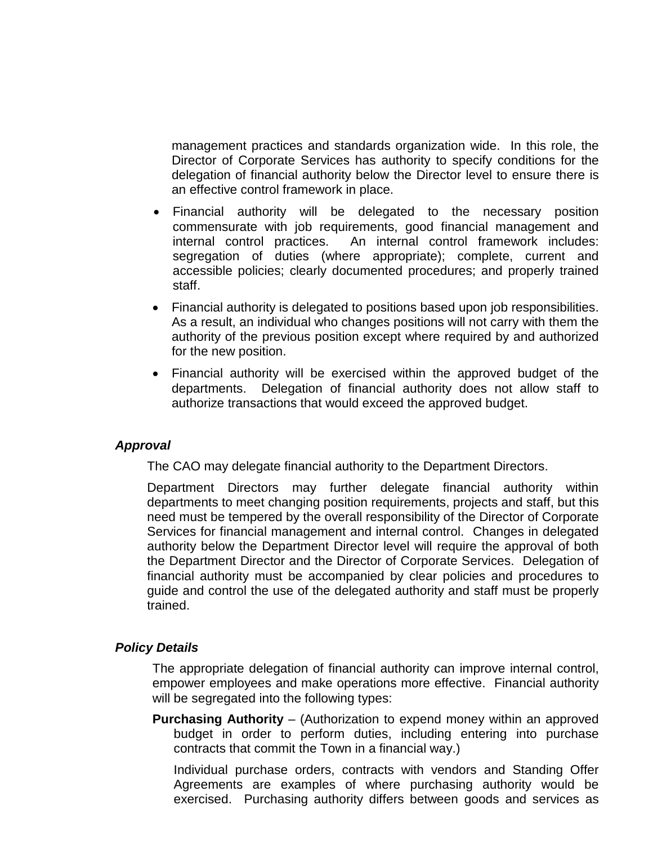management practices and standards organization wide. In this role, the Director of Corporate Services has authority to specify conditions for the delegation of financial authority below the Director level to ensure there is an effective control framework in place.

- Financial authority will be delegated to the necessary position commensurate with job requirements, good financial management and internal control practices. An internal control framework includes: segregation of duties (where appropriate); complete, current and accessible policies; clearly documented procedures; and properly trained staff.
- Financial authority is delegated to positions based upon job responsibilities. As a result, an individual who changes positions will not carry with them the authority of the previous position except where required by and authorized for the new position.
- Financial authority will be exercised within the approved budget of the departments. Delegation of financial authority does not allow staff to authorize transactions that would exceed the approved budget.

#### *Approval*

The CAO may delegate financial authority to the Department Directors.

Department Directors may further delegate financial authority within departments to meet changing position requirements, projects and staff, but this need must be tempered by the overall responsibility of the Director of Corporate Services for financial management and internal control. Changes in delegated authority below the Department Director level will require the approval of both the Department Director and the Director of Corporate Services. Delegation of financial authority must be accompanied by clear policies and procedures to guide and control the use of the delegated authority and staff must be properly trained.

#### *Policy Details*

The appropriate delegation of financial authority can improve internal control, empower employees and make operations more effective. Financial authority will be segregated into the following types:

**Purchasing Authority** – (Authorization to expend money within an approved budget in order to perform duties, including entering into purchase contracts that commit the Town in a financial way.)

Individual purchase orders, contracts with vendors and Standing Offer Agreements are examples of where purchasing authority would be exercised. Purchasing authority differs between goods and services as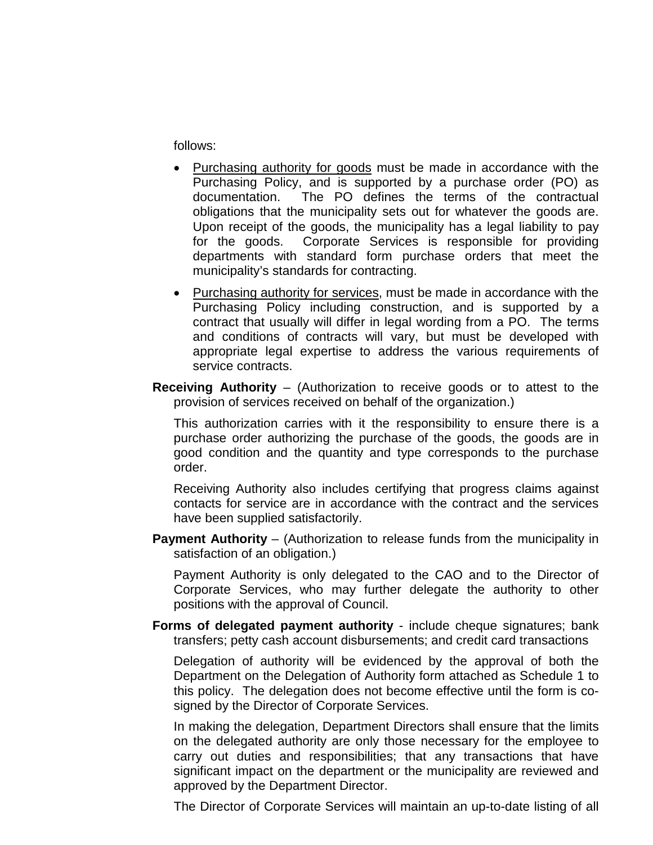follows:

- Purchasing authority for goods must be made in accordance with the Purchasing Policy, and is supported by a purchase order (PO) as documentation. The PO defines the terms of the contractual obligations that the municipality sets out for whatever the goods are. Upon receipt of the goods, the municipality has a legal liability to pay for the goods. Corporate Services is responsible for providing departments with standard form purchase orders that meet the municipality's standards for contracting.
- Purchasing authority for services, must be made in accordance with the Purchasing Policy including construction, and is supported by a contract that usually will differ in legal wording from a PO. The terms and conditions of contracts will vary, but must be developed with appropriate legal expertise to address the various requirements of service contracts.
- **Receiving Authority** (Authorization to receive goods or to attest to the provision of services received on behalf of the organization.)

This authorization carries with it the responsibility to ensure there is a purchase order authorizing the purchase of the goods, the goods are in good condition and the quantity and type corresponds to the purchase order.

Receiving Authority also includes certifying that progress claims against contacts for service are in accordance with the contract and the services have been supplied satisfactorily.

**Payment Authority** – (Authorization to release funds from the municipality in satisfaction of an obligation.)

Payment Authority is only delegated to the CAO and to the Director of Corporate Services, who may further delegate the authority to other positions with the approval of Council.

**Forms of delegated payment authority** - include cheque signatures; bank transfers; petty cash account disbursements; and credit card transactions

Delegation of authority will be evidenced by the approval of both the Department on the Delegation of Authority form attached as Schedule 1 to this policy. The delegation does not become effective until the form is cosigned by the Director of Corporate Services.

In making the delegation, Department Directors shall ensure that the limits on the delegated authority are only those necessary for the employee to carry out duties and responsibilities; that any transactions that have significant impact on the department or the municipality are reviewed and approved by the Department Director.

The Director of Corporate Services will maintain an up-to-date listing of all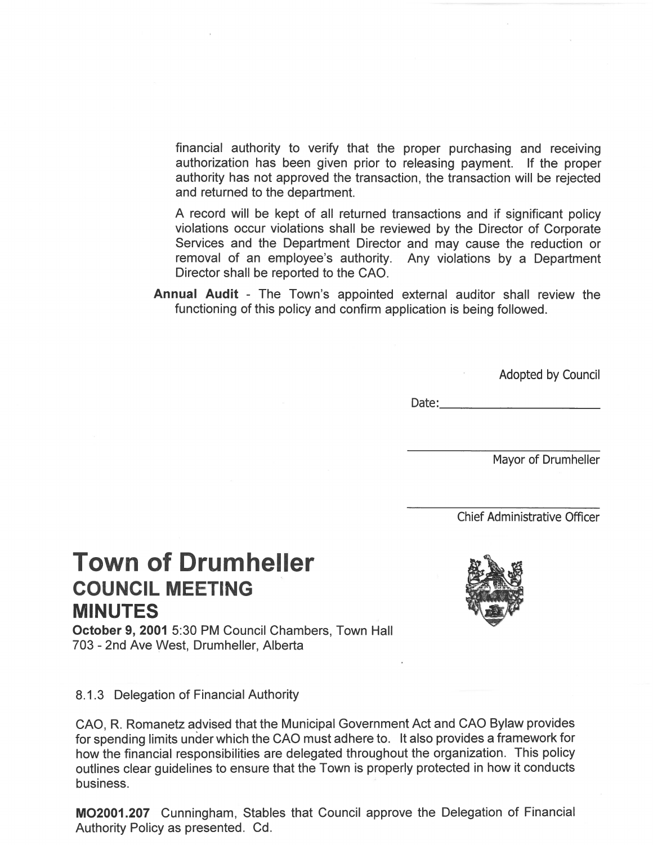financial authority to verify that the proper purchasing and receiving authorization has been given prior to releasing payment. If the proper authority has not approved the transaction, the transaction will be rejected and returned to the department.

A record will be kept of all returned transactions and if significant policy violations occur violations shall be reviewed by the Director of Corporate Services and the Department Director and may cause the reduction or removal of an employee's authority. Any violations by a Department Director shall be reported to the CAO.

Annual Audit - The Town's appointed external auditor shall review the functioning of this policy and confirm application is being followed.

Adopted by Council

Date:

Mayor of Drumheller

**Chief Administrative Officer** 

# **Town of Drumheller COUNCIL MEETING MINUTES**

October 9, 2001 5:30 PM Council Chambers, Town Hall 703 - 2nd Ave West, Drumheller, Alberta

#### 8.1.3 Delegation of Financial Authority

CAO, R. Romanetz advised that the Municipal Government Act and CAO Bylaw provides for spending limits under which the CAO must adhere to. It also provides a framework for how the financial responsibilities are delegated throughout the organization. This policy outlines clear guidelines to ensure that the Town is properly protected in how it conducts business.

MO2001.207 Cunningham, Stables that Council approve the Delegation of Financial Authority Policy as presented. Cd.